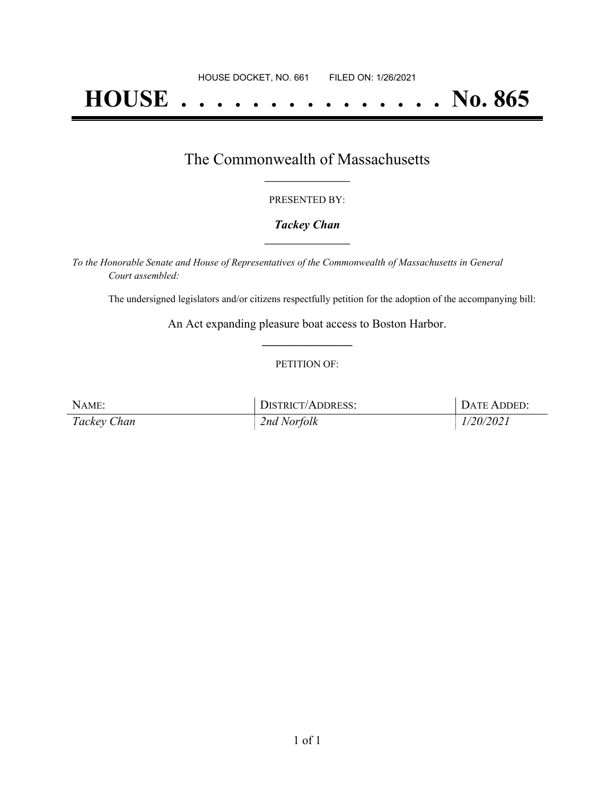# **HOUSE . . . . . . . . . . . . . . . No. 865**

## The Commonwealth of Massachusetts **\_\_\_\_\_\_\_\_\_\_\_\_\_\_\_\_\_**

#### PRESENTED BY:

#### *Tackey Chan* **\_\_\_\_\_\_\_\_\_\_\_\_\_\_\_\_\_**

*To the Honorable Senate and House of Representatives of the Commonwealth of Massachusetts in General Court assembled:*

The undersigned legislators and/or citizens respectfully petition for the adoption of the accompanying bill:

An Act expanding pleasure boat access to Boston Harbor. **\_\_\_\_\_\_\_\_\_\_\_\_\_\_\_**

#### PETITION OF:

| NAME:       | <b>DISTRICT/ADDRESS:</b> | DATE ADDED: |
|-------------|--------------------------|-------------|
| Tackey Chan | 2nd Norfolk              | 1/20/2021   |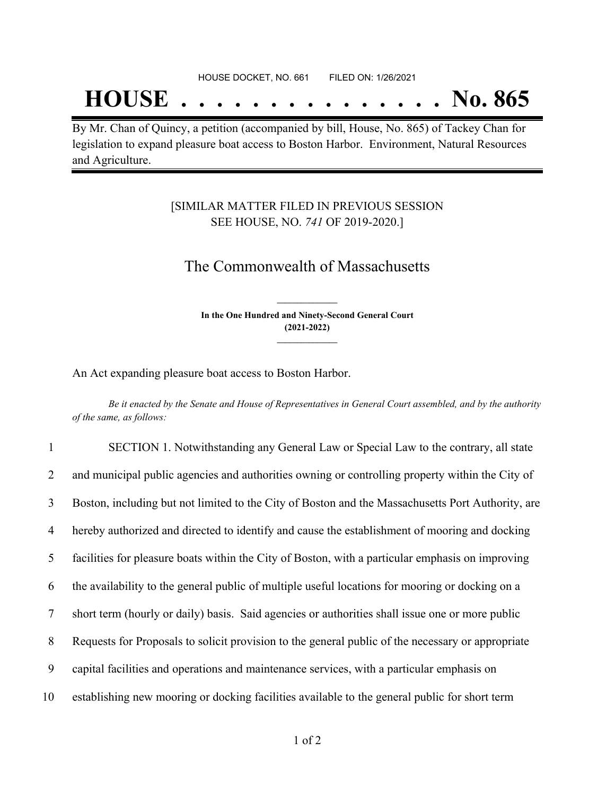## **HOUSE . . . . . . . . . . . . . . . No. 865**

By Mr. Chan of Quincy, a petition (accompanied by bill, House, No. 865) of Tackey Chan for legislation to expand pleasure boat access to Boston Harbor. Environment, Natural Resources and Agriculture.

### [SIMILAR MATTER FILED IN PREVIOUS SESSION SEE HOUSE, NO. *741* OF 2019-2020.]

## The Commonwealth of Massachusetts

**In the One Hundred and Ninety-Second General Court (2021-2022) \_\_\_\_\_\_\_\_\_\_\_\_\_\_\_**

**\_\_\_\_\_\_\_\_\_\_\_\_\_\_\_**

An Act expanding pleasure boat access to Boston Harbor.

Be it enacted by the Senate and House of Representatives in General Court assembled, and by the authority *of the same, as follows:*

 SECTION 1. Notwithstanding any General Law or Special Law to the contrary, all state and municipal public agencies and authorities owning or controlling property within the City of Boston, including but not limited to the City of Boston and the Massachusetts Port Authority, are hereby authorized and directed to identify and cause the establishment of mooring and docking facilities for pleasure boats within the City of Boston, with a particular emphasis on improving the availability to the general public of multiple useful locations for mooring or docking on a short term (hourly or daily) basis. Said agencies or authorities shall issue one or more public Requests for Proposals to solicit provision to the general public of the necessary or appropriate capital facilities and operations and maintenance services, with a particular emphasis on establishing new mooring or docking facilities available to the general public for short term